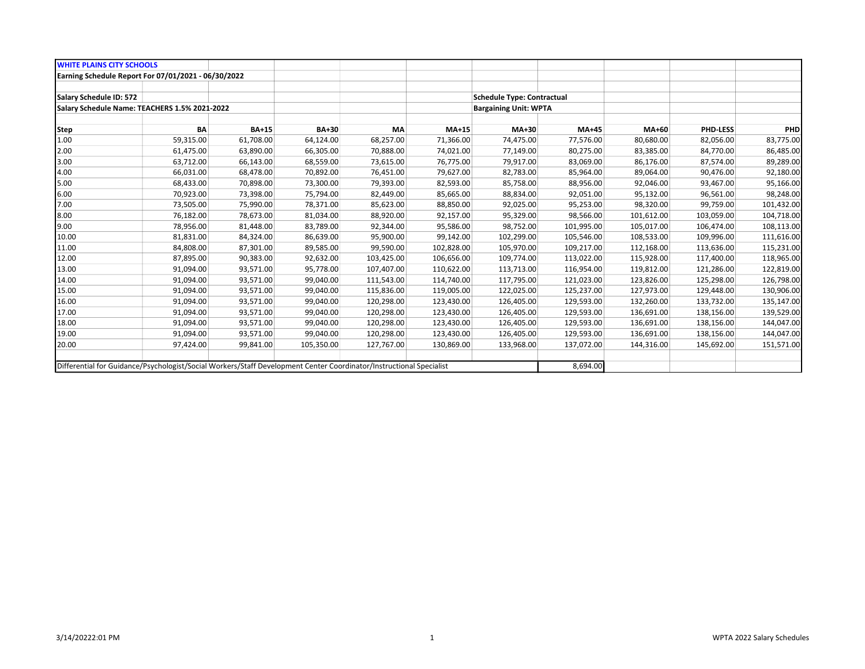| <b>WHITE PLAINS CITY SCHOOLS</b>                                                                                    |           |              |            |            |            |                                   |              |            |                 |            |
|---------------------------------------------------------------------------------------------------------------------|-----------|--------------|------------|------------|------------|-----------------------------------|--------------|------------|-----------------|------------|
| Earning Schedule Report For 07/01/2021 - 06/30/2022                                                                 |           |              |            |            |            |                                   |              |            |                 |            |
|                                                                                                                     |           |              |            |            |            |                                   |              |            |                 |            |
| Salary Schedule ID: 572                                                                                             |           |              |            |            |            | <b>Schedule Type: Contractual</b> |              |            |                 |            |
| Salary Schedule Name: TEACHERS 1.5% 2021-2022                                                                       |           |              |            |            |            | <b>Bargaining Unit: WPTA</b>      |              |            |                 |            |
|                                                                                                                     |           |              |            |            |            |                                   |              |            |                 |            |
| <b>Step</b>                                                                                                         | <b>BA</b> | <b>BA+15</b> | BA+30      | <b>MA</b>  | MA+15      | $MA+30$                           | <b>MA+45</b> | MA+60      | <b>PHD-LESS</b> | PHD        |
| 1.00                                                                                                                | 59,315.00 | 61,708.00    | 64,124.00  | 68,257.00  | 71,366.00  | 74,475.00                         | 77,576.00    | 80,680.00  | 82,056.00       | 83,775.00  |
| 2.00                                                                                                                | 61,475.00 | 63,890.00    | 66,305.00  | 70,888.00  | 74,021.00  | 77,149.00                         | 80,275.00    | 83,385.00  | 84,770.00       | 86,485.00  |
| 3.00                                                                                                                | 63,712.00 | 66,143.00    | 68,559.00  | 73,615.00  | 76,775.00  | 79,917.00                         | 83,069.00    | 86,176.00  | 87,574.00       | 89,289.00  |
| 4.00                                                                                                                | 66,031.00 | 68,478.00    | 70,892.00  | 76,451.00  | 79,627.00  | 82,783.00                         | 85,964.00    | 89,064.00  | 90,476.00       | 92,180.00  |
| 5.00                                                                                                                | 68,433.00 | 70,898.00    | 73,300.00  | 79,393.00  | 82,593.00  | 85,758.00                         | 88,956.00    | 92,046.00  | 93,467.00       | 95,166.00  |
| 6.00                                                                                                                | 70,923.00 | 73,398.00    | 75,794.00  | 82,449.00  | 85,665.00  | 88,834.00                         | 92,051.00    | 95,132.00  | 96,561.00       | 98,248.00  |
| 7.00                                                                                                                | 73,505.00 | 75,990.00    | 78,371.00  | 85,623.00  | 88,850.00  | 92,025.00                         | 95,253.00    | 98,320.00  | 99,759.00       | 101,432.00 |
| 8.00                                                                                                                | 76,182.00 | 78,673.00    | 81,034.00  | 88,920.00  | 92,157.00  | 95,329.00                         | 98,566.00    | 101,612.00 | 103,059.00      | 104,718.00 |
| 9.00                                                                                                                | 78,956.00 | 81,448.00    | 83,789.00  | 92,344.00  | 95,586.00  | 98,752.00                         | 101,995.00   | 105,017.00 | 106,474.00      | 108,113.00 |
| 10.00                                                                                                               | 81,831.00 | 84,324.00    | 86,639.00  | 95,900.00  | 99,142.00  | 102,299.00                        | 105,546.00   | 108,533.00 | 109,996.00      | 111,616.00 |
| 11.00                                                                                                               | 84,808.00 | 87,301.00    | 89,585.00  | 99,590.00  | 102,828.00 | 105,970.00                        | 109,217.00   | 112,168.00 | 113,636.00      | 115,231.00 |
| 12.00                                                                                                               | 87,895.00 | 90,383.00    | 92,632.00  | 103,425.00 | 106,656.00 | 109,774.00                        | 113,022.00   | 115,928.00 | 117,400.00      | 118,965.00 |
| 13.00                                                                                                               | 91,094.00 | 93,571.00    | 95,778.00  | 107,407.00 | 110,622.00 | 113,713.00                        | 116,954.00   | 119,812.00 | 121,286.00      | 122,819.00 |
| 14.00                                                                                                               | 91,094.00 | 93,571.00    | 99,040.00  | 111,543.00 | 114,740.00 | 117,795.00                        | 121,023.00   | 123,826.00 | 125,298.00      | 126,798.00 |
| 15.00                                                                                                               | 91,094.00 | 93,571.00    | 99,040.00  | 115,836.00 | 119,005.00 | 122,025.00                        | 125,237.00   | 127,973.00 | 129,448.00      | 130,906.00 |
| 16.00                                                                                                               | 91,094.00 | 93,571.00    | 99,040.00  | 120,298.00 | 123,430.00 | 126,405.00                        | 129,593.00   | 132,260.00 | 133,732.00      | 135,147.00 |
| 17.00                                                                                                               | 91,094.00 | 93,571.00    | 99,040.00  | 120,298.00 | 123,430.00 | 126,405.00                        | 129,593.00   | 136,691.00 | 138,156.00      | 139,529.00 |
| 18.00                                                                                                               | 91,094.00 | 93,571.00    | 99,040.00  | 120,298.00 | 123,430.00 | 126,405.00                        | 129,593.00   | 136,691.00 | 138,156.00      | 144,047.00 |
| 19.00                                                                                                               | 91,094.00 | 93,571.00    | 99,040.00  | 120,298.00 | 123,430.00 | 126,405.00                        | 129,593.00   | 136,691.00 | 138,156.00      | 144,047.00 |
| 20.00                                                                                                               | 97,424.00 | 99,841.00    | 105,350.00 | 127,767.00 | 130,869.00 | 133,968.00                        | 137,072.00   | 144,316.00 | 145,692.00      | 151,571.00 |
|                                                                                                                     |           |              |            |            |            |                                   |              |            |                 |            |
| Differential for Guidance/Psychologist/Social Workers/Staff Development Center Coordinator/Instructional Specialist |           |              |            |            |            |                                   | 8,694.00     |            |                 |            |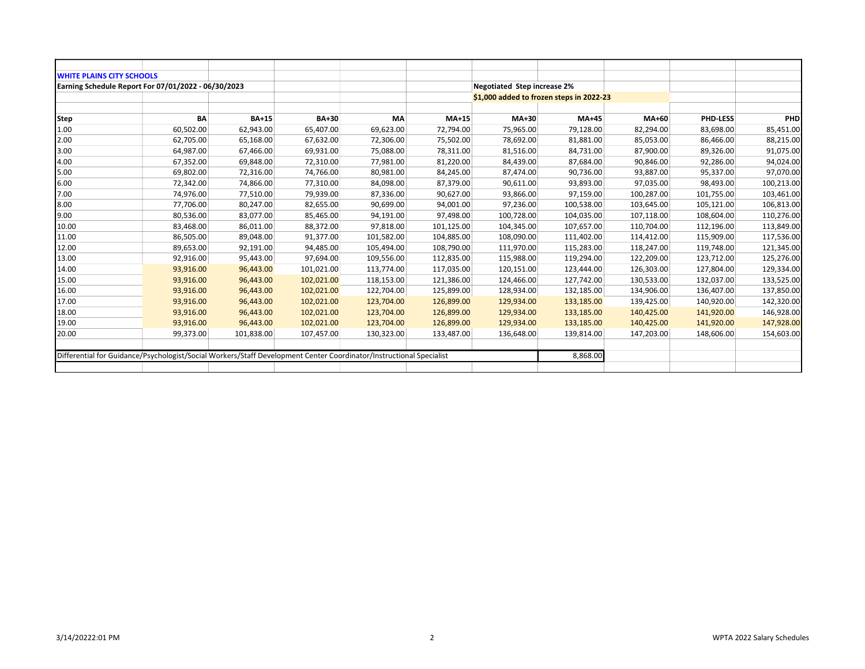| <b>WHITE PLAINS CITY SCHOOLS</b>                                                                                    |           |              |            |            |              |                                    |                                          |            |                 |            |
|---------------------------------------------------------------------------------------------------------------------|-----------|--------------|------------|------------|--------------|------------------------------------|------------------------------------------|------------|-----------------|------------|
| Earning Schedule Report For 07/01/2022 - 06/30/2023                                                                 |           |              |            |            |              | <b>Negotiated Step increase 2%</b> |                                          |            |                 |            |
|                                                                                                                     |           |              |            |            |              |                                    | \$1,000 added to frozen steps in 2022-23 |            |                 |            |
|                                                                                                                     |           |              |            |            |              |                                    |                                          |            |                 |            |
| Step                                                                                                                | BA        | <b>BA+15</b> | BA+30      | МA         | <b>MA+15</b> | $MA+30$                            | <b>MA+45</b>                             | MA+60      | <b>PHD-LESS</b> | PHD        |
| 1.00                                                                                                                | 60,502.00 | 62,943.00    | 65,407.00  | 69,623.00  | 72,794.00    | 75,965.00                          | 79,128.00                                | 82,294.00  | 83,698.00       | 85,451.00  |
| 2.00                                                                                                                | 62,705.00 | 65,168.00    | 67,632.00  | 72,306.00  | 75,502.00    | 78,692.00                          | 81,881.00                                | 85,053.00  | 86,466.00       | 88,215.00  |
| 3.00                                                                                                                | 64,987.00 | 67,466.00    | 69,931.00  | 75,088.00  | 78,311.00    | 81,516.00                          | 84,731.00                                | 87,900.00  | 89,326.00       | 91,075.00  |
| 4.00                                                                                                                | 67,352.00 | 69,848.00    | 72,310.00  | 77,981.00  | 81,220.00    | 84,439.00                          | 87,684.00                                | 90,846.00  | 92,286.00       | 94,024.00  |
| 5.00                                                                                                                | 69,802.00 | 72,316.00    | 74,766.00  | 80,981.00  | 84,245.00    | 87,474.00                          | 90,736.00                                | 93,887.00  | 95,337.00       | 97,070.00  |
| 6.00                                                                                                                | 72,342.00 | 74,866.00    | 77,310.00  | 84,098.00  | 87,379.00    | 90,611.00                          | 93,893.00                                | 97,035.00  | 98,493.00       | 100,213.00 |
| 7.00                                                                                                                | 74,976.00 | 77,510.00    | 79,939.00  | 87,336.00  | 90,627.00    | 93,866.00                          | 97,159.00                                | 100,287.00 | 101,755.00      | 103,461.00 |
| 8.00                                                                                                                | 77,706.00 | 80,247.00    | 82,655.00  | 90,699.00  | 94,001.00    | 97,236.00                          | 100,538.00                               | 103,645.00 | 105,121.00      | 106,813.00 |
| 9.00                                                                                                                | 80,536.00 | 83,077.00    | 85,465.00  | 94,191.00  | 97,498.00    | 100,728.00                         | 104,035.00                               | 107,118.00 | 108,604.00      | 110,276.00 |
| 10.00                                                                                                               | 83,468.00 | 86,011.00    | 88,372.00  | 97,818.00  | 101,125.00   | 104,345.00                         | 107,657.00                               | 110,704.00 | 112,196.00      | 113,849.00 |
| 11.00                                                                                                               | 86,505.00 | 89,048.00    | 91,377.00  | 101,582.00 | 104,885.00   | 108,090.00                         | 111,402.00                               | 114,412.00 | 115,909.00      | 117,536.00 |
| 12.00                                                                                                               | 89,653.00 | 92,191.00    | 94,485.00  | 105,494.00 | 108,790.00   | 111,970.00                         | 115,283.00                               | 118,247.00 | 119,748.00      | 121,345.00 |
| 13.00                                                                                                               | 92,916.00 | 95,443.00    | 97,694.00  | 109,556.00 | 112,835.00   | 115,988.00                         | 119,294.00                               | 122,209.00 | 123,712.00      | 125,276.00 |
| 14.00                                                                                                               | 93,916.00 | 96,443.00    | 101,021.00 | 113,774.00 | 117,035.00   | 120,151.00                         | 123,444.00                               | 126,303.00 | 127,804.00      | 129,334.00 |
| 15.00                                                                                                               | 93,916.00 | 96,443.00    | 102,021.00 | 118,153.00 | 121,386.00   | 124,466.00                         | 127,742.00                               | 130,533.00 | 132,037.00      | 133,525.00 |
| 16.00                                                                                                               | 93,916.00 | 96,443.00    | 102,021.00 | 122,704.00 | 125,899.00   | 128,934.00                         | 132,185.00                               | 134,906.00 | 136,407.00      | 137,850.00 |
| 17.00                                                                                                               | 93,916.00 | 96,443.00    | 102,021.00 | 123,704.00 | 126,899.00   | 129,934.00                         | 133,185.00                               | 139,425.00 | 140,920.00      | 142,320.00 |
| 18.00                                                                                                               | 93,916.00 | 96,443.00    | 102,021.00 | 123,704.00 | 126,899.00   | 129,934.00                         | 133,185.00                               | 140,425.00 | 141,920.00      | 146,928.00 |
| 19.00                                                                                                               | 93,916.00 | 96,443.00    | 102,021.00 | 123,704.00 | 126,899.00   | 129,934.00                         | 133,185.00                               | 140,425.00 | 141,920.00      | 147,928.00 |
| 20.00                                                                                                               | 99,373.00 | 101,838.00   | 107,457.00 | 130,323.00 | 133,487.00   | 136,648.00                         | 139,814.00                               | 147,203.00 | 148,606.00      | 154,603.00 |
|                                                                                                                     |           |              |            |            |              |                                    |                                          |            |                 |            |
| Differential for Guidance/Psychologist/Social Workers/Staff Development Center Coordinator/Instructional Specialist |           |              |            |            |              |                                    | 8,868.00                                 |            |                 |            |
|                                                                                                                     |           |              |            |            |              |                                    |                                          |            |                 |            |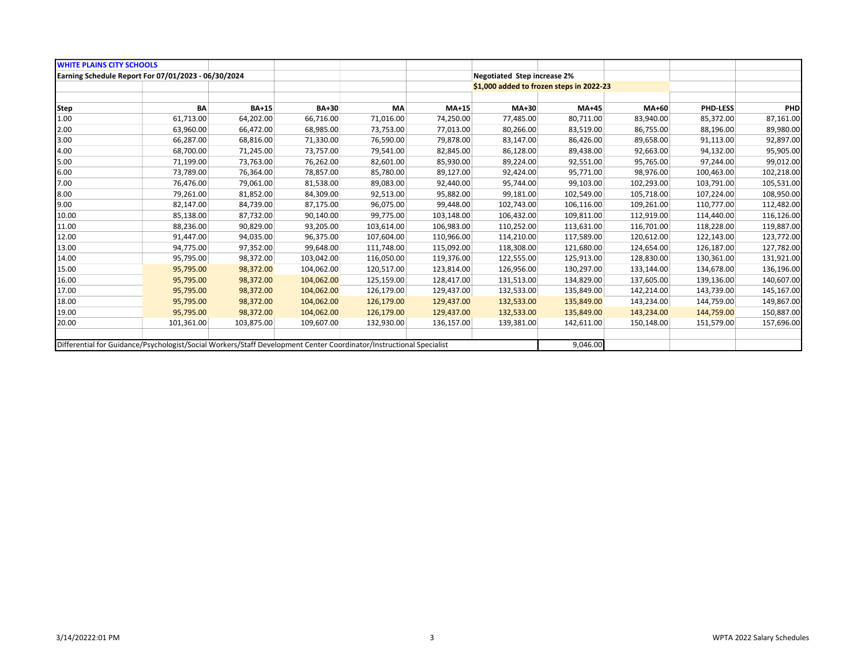| <b>WHITE PLAINS CITY SCHOOLS</b>                                                                                    |            |              |            |            |            |                                          |            |            |                 |            |
|---------------------------------------------------------------------------------------------------------------------|------------|--------------|------------|------------|------------|------------------------------------------|------------|------------|-----------------|------------|
| Earning Schedule Report For 07/01/2023 - 06/30/2024                                                                 |            |              |            |            |            | <b>Negotiated Step increase 2%</b>       |            |            |                 |            |
|                                                                                                                     |            |              |            |            |            | \$1,000 added to frozen steps in 2022-23 |            |            |                 |            |
|                                                                                                                     |            |              |            |            |            |                                          |            |            |                 |            |
| <b>Step</b>                                                                                                         | BA         | <b>BA+15</b> | BA+30      | МA         | MA+15      | MA+30                                    | MA+45      | MA+60      | <b>PHD-LESS</b> | <b>PHD</b> |
| 1.00                                                                                                                | 61,713.00  | 64,202.00    | 66,716.00  | 71,016.00  | 74,250.00  | 77,485.00                                | 80,711.00  | 83,940.00  | 85,372.00       | 87,161.00  |
| 2.00                                                                                                                | 63,960.00  | 66,472.00    | 68,985.00  | 73,753.00  | 77,013.00  | 80,266.00                                | 83,519.00  | 86,755.00  | 88,196.00       | 89,980.00  |
| 3.00                                                                                                                | 66,287.00  | 68,816.00    | 71,330.00  | 76,590.00  | 79,878.00  | 83,147.00                                | 86,426.00  | 89,658.00  | 91,113.00       | 92,897.00  |
| 4.00                                                                                                                | 68,700.00  | 71,245.00    | 73,757.00  | 79,541.00  | 82,845.00  | 86,128.00                                | 89,438.00  | 92,663.00  | 94,132.00       | 95,905.00  |
| 5.00                                                                                                                | 71,199.00  | 73,763.00    | 76,262.00  | 82,601.00  | 85,930.00  | 89,224.00                                | 92,551.00  | 95,765.00  | 97,244.00       | 99,012.00  |
| 6.00                                                                                                                | 73,789.00  | 76,364.00    | 78,857.00  | 85,780.00  | 89,127.00  | 92,424.00                                | 95,771.00  | 98,976.00  | 100,463.00      | 102,218.00 |
| 7.00                                                                                                                | 76,476.00  | 79,061.00    | 81,538.00  | 89,083.00  | 92,440.00  | 95,744.00                                | 99,103.00  | 102,293.00 | 103,791.00      | 105,531.00 |
| 8.00                                                                                                                | 79,261.00  | 81,852.00    | 84,309.00  | 92,513.00  | 95,882.00  | 99,181.00                                | 102,549.00 | 105,718.00 | 107,224.00      | 108,950.00 |
| 9.00                                                                                                                | 82,147.00  | 84,739.00    | 87,175.00  | 96,075.00  | 99,448.00  | 102,743.00                               | 106,116.00 | 109,261.00 | 110,777.00      | 112,482.00 |
| 10.00                                                                                                               | 85,138.00  | 87,732.00    | 90,140.00  | 99,775.00  | 103,148.00 | 106,432.00                               | 109,811.00 | 112,919.00 | 114,440.00      | 116,126.00 |
| 11.00                                                                                                               | 88,236.00  | 90,829.00    | 93,205.00  | 103,614.00 | 106,983.00 | 110,252.00                               | 113,631.00 | 116,701.00 | 118,228.00      | 119,887.00 |
| 12.00                                                                                                               | 91,447.00  | 94,035.00    | 96,375.00  | 107,604.00 | 110,966.00 | 114,210.00                               | 117,589.00 | 120,612.00 | 122,143.00      | 123,772.00 |
| 13.00                                                                                                               | 94,775.00  | 97,352.00    | 99,648.00  | 111,748.00 | 115,092.00 | 118,308.00                               | 121,680.00 | 124,654.00 | 126,187.00      | 127,782.00 |
| 14.00                                                                                                               | 95,795.00  | 98,372.00    | 103,042.00 | 116,050.00 | 119,376.00 | 122,555.00                               | 125,913.00 | 128,830.00 | 130,361.00      | 131,921.00 |
| 15.00                                                                                                               | 95,795.00  | 98,372.00    | 104,062.00 | 120,517.00 | 123,814.00 | 126,956.00                               | 130,297.00 | 133,144.00 | 134,678.00      | 136,196.00 |
| 16.00                                                                                                               | 95,795.00  | 98,372.00    | 104,062.00 | 125,159.00 | 128,417.00 | 131,513.00                               | 134,829.00 | 137,605.00 | 139,136.00      | 140,607.00 |
| 17.00                                                                                                               | 95,795.00  | 98,372.00    | 104,062.00 | 126,179.00 | 129,437.00 | 132,533.00                               | 135,849.00 | 142,214.00 | 143,739.00      | 145,167.00 |
| 18.00                                                                                                               | 95,795.00  | 98,372.00    | 104,062.00 | 126,179.00 | 129,437.00 | 132,533.00                               | 135,849.00 | 143,234.00 | 144,759.00      | 149,867.00 |
| 19.00                                                                                                               | 95,795.00  | 98,372.00    | 104,062.00 | 126,179.00 | 129,437.00 | 132,533.00                               | 135,849.00 | 143,234.00 | 144,759.00      | 150,887.00 |
| 20.00                                                                                                               | 101,361.00 | 103,875.00   | 109,607.00 | 132,930.00 | 136,157.00 | 139,381.00                               | 142,611.00 | 150,148.00 | 151,579.00      | 157,696.00 |
|                                                                                                                     |            |              |            |            |            |                                          |            |            |                 |            |
| Differential for Guidance/Psychologist/Social Workers/Staff Development Center Coordinator/Instructional Specialist |            |              |            | 9,046.00   |            |                                          |            |            |                 |            |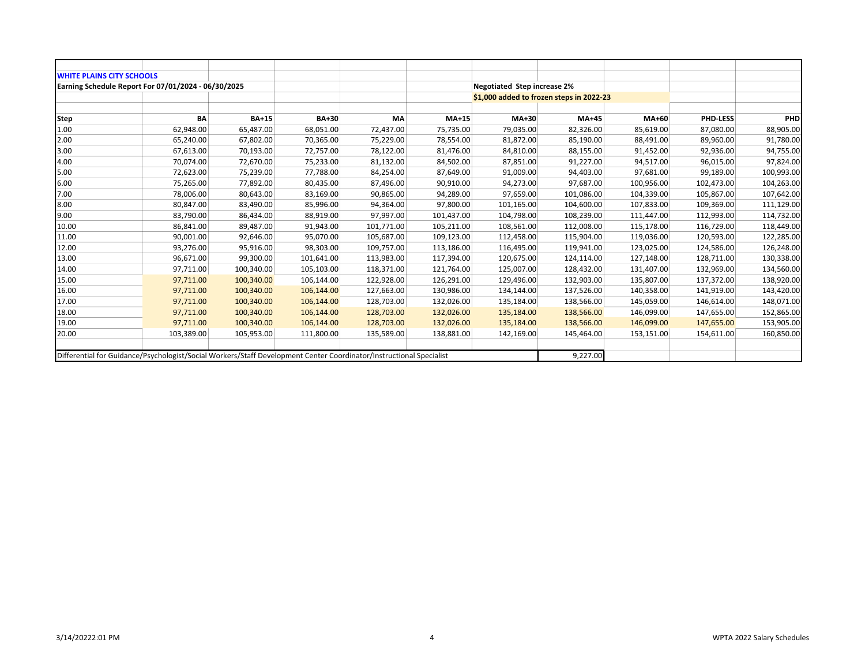| <b>WHITE PLAINS CITY SCHOOLS</b>                                                                                    |            |              |            |            |            |                                    |                                          |            |                 |            |
|---------------------------------------------------------------------------------------------------------------------|------------|--------------|------------|------------|------------|------------------------------------|------------------------------------------|------------|-----------------|------------|
| Earning Schedule Report For 07/01/2024 - 06/30/2025                                                                 |            |              |            |            |            | <b>Negotiated Step increase 2%</b> |                                          |            |                 |            |
|                                                                                                                     |            |              |            |            |            |                                    | \$1,000 added to frozen steps in 2022-23 |            |                 |            |
|                                                                                                                     |            |              |            |            |            |                                    |                                          |            |                 |            |
| <b>Step</b>                                                                                                         | BA         | <b>BA+15</b> | BA+30      | MA         | MA+15      | MA+30                              | <b>MA+45</b>                             | MA+60      | <b>PHD-LESS</b> | PHD        |
| 1.00                                                                                                                | 62,948.00  | 65,487.00    | 68,051.00  | 72,437.00  | 75,735.00  | 79,035.00                          | 82,326.00                                | 85,619.00  | 87,080.00       | 88,905.00  |
| 2.00                                                                                                                | 65,240.00  | 67,802.00    | 70,365.00  | 75,229.00  | 78,554.00  | 81,872.00                          | 85,190.00                                | 88,491.00  | 89,960.00       | 91,780.00  |
| 3.00                                                                                                                | 67,613.00  | 70,193.00    | 72,757.00  | 78,122.00  | 81,476.00  | 84,810.00                          | 88,155.00                                | 91,452.00  | 92,936.00       | 94,755.00  |
| 4.00                                                                                                                | 70,074.00  | 72,670.00    | 75,233.00  | 81,132.00  | 84,502.00  | 87,851.00                          | 91,227.00                                | 94,517.00  | 96,015.00       | 97,824.00  |
| 5.00                                                                                                                | 72,623.00  | 75,239.00    | 77,788.00  | 84,254.00  | 87,649.00  | 91,009.00                          | 94,403.00                                | 97,681.00  | 99,189.00       | 100,993.00 |
| 6.00                                                                                                                | 75,265.00  | 77,892.00    | 80,435.00  | 87,496.00  | 90,910.00  | 94,273.00                          | 97,687.00                                | 100,956.00 | 102,473.00      | 104,263.00 |
| 7.00                                                                                                                | 78,006.00  | 80,643.00    | 83,169.00  | 90,865.00  | 94,289.00  | 97,659.00                          | 101,086.00                               | 104,339.00 | 105,867.00      | 107,642.00 |
| 8.00                                                                                                                | 80,847.00  | 83,490.00    | 85,996.00  | 94,364.00  | 97,800.00  | 101,165.00                         | 104,600.00                               | 107,833.00 | 109,369.00      | 111,129.00 |
| 9.00                                                                                                                | 83,790.00  | 86,434.00    | 88,919.00  | 97,997.00  | 101,437.00 | 104,798.00                         | 108,239.00                               | 111,447.00 | 112,993.00      | 114,732.00 |
| 10.00                                                                                                               | 86,841.00  | 89,487.00    | 91,943.00  | 101,771.00 | 105,211.00 | 108,561.00                         | 112,008.00                               | 115,178.00 | 116,729.00      | 118,449.00 |
| 11.00                                                                                                               | 90,001.00  | 92,646.00    | 95,070.00  | 105,687.00 | 109,123.00 | 112,458.00                         | 115,904.00                               | 119,036.00 | 120,593.00      | 122,285.00 |
| 12.00                                                                                                               | 93,276.00  | 95,916.00    | 98,303.00  | 109,757.00 | 113,186.00 | 116,495.00                         | 119,941.00                               | 123,025.00 | 124,586.00      | 126,248.00 |
| 13.00                                                                                                               | 96,671.00  | 99,300.00    | 101,641.00 | 113,983.00 | 117,394.00 | 120,675.00                         | 124,114.00                               | 127,148.00 | 128,711.00      | 130,338.00 |
| 14.00                                                                                                               | 97,711.00  | 100,340.00   | 105,103.00 | 118,371.00 | 121,764.00 | 125,007.00                         | 128,432.00                               | 131,407.00 | 132,969.00      | 134,560.00 |
| 15.00                                                                                                               | 97,711.00  | 100,340.00   | 106,144.00 | 122,928.00 | 126,291.00 | 129,496.00                         | 132,903.00                               | 135,807.00 | 137,372.00      | 138,920.00 |
| 16.00                                                                                                               | 97,711.00  | 100,340.00   | 106,144.00 | 127,663.00 | 130,986.00 | 134,144.00                         | 137,526.00                               | 140,358.00 | 141,919.00      | 143,420.00 |
| 17.00                                                                                                               | 97,711.00  | 100,340.00   | 106,144.00 | 128,703.00 | 132,026.00 | 135,184.00                         | 138,566.00                               | 145,059.00 | 146,614.00      | 148,071.00 |
| 18.00                                                                                                               | 97,711.00  | 100,340.00   | 106,144.00 | 128,703.00 | 132,026.00 | 135,184.00                         | 138,566.00                               | 146,099.00 | 147,655.00      | 152,865.00 |
| 19.00                                                                                                               | 97,711.00  | 100,340.00   | 106,144.00 | 128,703.00 | 132,026.00 | 135,184.00                         | 138,566.00                               | 146,099.00 | 147,655.00      | 153,905.00 |
| 20.00                                                                                                               | 103,389.00 | 105,953.00   | 111,800.00 | 135,589.00 | 138,881.00 | 142,169.00                         | 145,464.00                               | 153,151.00 | 154,611.00      | 160,850.00 |
|                                                                                                                     |            |              |            |            |            |                                    |                                          |            |                 |            |
| Differential for Guidance/Psychologist/Social Workers/Staff Development Center Coordinator/Instructional Specialist |            |              |            |            |            |                                    | 9,227.00                                 |            |                 |            |